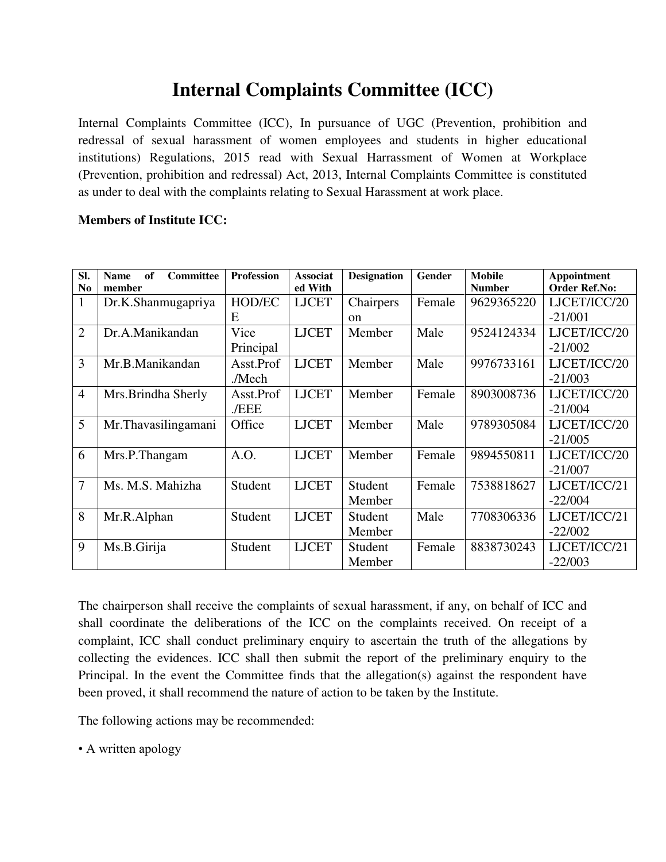## **Internal Complaints Committee (ICC)**

Internal Complaints Committee (ICC), In pursuance of UGC (Prevention, prohibition and redressal of sexual harassment of women employees and students in higher educational institutions) Regulations, 2015 read with Sexual Harrassment of Women at Workplace (Prevention, prohibition and redressal) Act, 2013, Internal Complaints Committee is constituted as under to deal with the complaints relating to Sexual Harassment at work place.

## **Members of Institute ICC:**

| SI.<br>N <sub>0</sub> | <b>Committee</b><br>of<br><b>Name</b><br>member | <b>Profession</b> | <b>Associat</b><br>ed With | <b>Designation</b> | Gender | <b>Mobile</b><br><b>Number</b> | Appointment<br><b>Order Ref.No:</b> |
|-----------------------|-------------------------------------------------|-------------------|----------------------------|--------------------|--------|--------------------------------|-------------------------------------|
| $\mathbf{1}$          | Dr.K.Shanmugapriya                              | <b>HOD/EC</b>     | <b>LJCET</b>               | Chairpers          | Female | 9629365220                     | LJCET/ICC/20                        |
|                       |                                                 | E                 |                            | <sub>on</sub>      |        |                                | $-21/001$                           |
| $\overline{2}$        | Dr.A.Manikandan                                 | Vice              | <b>LJCET</b>               | Member             | Male   | 9524124334                     | LJCET/ICC/20                        |
|                       |                                                 | Principal         |                            |                    |        |                                | $-21/002$                           |
| 3                     | Mr.B.Manikandan                                 | Asst.Prof         | <b>LJCET</b>               | Member             | Male   | 9976733161                     | LJCET/ICC/20                        |
|                       |                                                 | ./Mech            |                            |                    |        |                                | $-21/003$                           |
| $\overline{4}$        | Mrs.Brindha Sherly                              | Asst.Prof         | <b>LJCET</b>               | Member             | Female | 8903008736                     | LJCET/ICC/20                        |
|                       |                                                 | ./EEE             |                            |                    |        |                                | $-21/004$                           |
| 5                     | Mr.Thavasilingamani                             | Office            | <b>LJCET</b>               | Member             | Male   | 9789305084                     | LJCET/ICC/20                        |
|                       |                                                 |                   |                            |                    |        |                                | $-21/005$                           |
| 6                     | Mrs.P.Thangam                                   | A.O.              | <b>LJCET</b>               | Member             | Female | 9894550811                     | LJCET/ICC/20                        |
|                       |                                                 |                   |                            |                    |        |                                | $-21/007$                           |
| $\overline{7}$        | Ms. M.S. Mahizha                                | Student           | <b>LJCET</b>               | Student            | Female | 7538818627                     | LJCET/ICC/21                        |
|                       |                                                 |                   |                            | Member             |        |                                | $-22/004$                           |
| 8                     | Mr.R.Alphan                                     | Student           | <b>LJCET</b>               | Student            | Male   | 7708306336                     | LJCET/ICC/21                        |
|                       |                                                 |                   |                            | Member             |        |                                | $-22/002$                           |
| 9                     | Ms.B.Girija                                     | Student           | <b>LJCET</b>               | Student            | Female | 8838730243                     | LJCET/ICC/21                        |
|                       |                                                 |                   |                            | Member             |        |                                | $-22/003$                           |

The chairperson shall receive the complaints of sexual harassment, if any, on behalf of ICC and shall coordinate the deliberations of the ICC on the complaints received. On receipt of a complaint, ICC shall conduct preliminary enquiry to ascertain the truth of the allegations by collecting the evidences. ICC shall then submit the report of the preliminary enquiry to the Principal. In the event the Committee finds that the allegation(s) against the respondent have been proved, it shall recommend the nature of action to be taken by the Institute.

The following actions may be recommended:

• A written apology